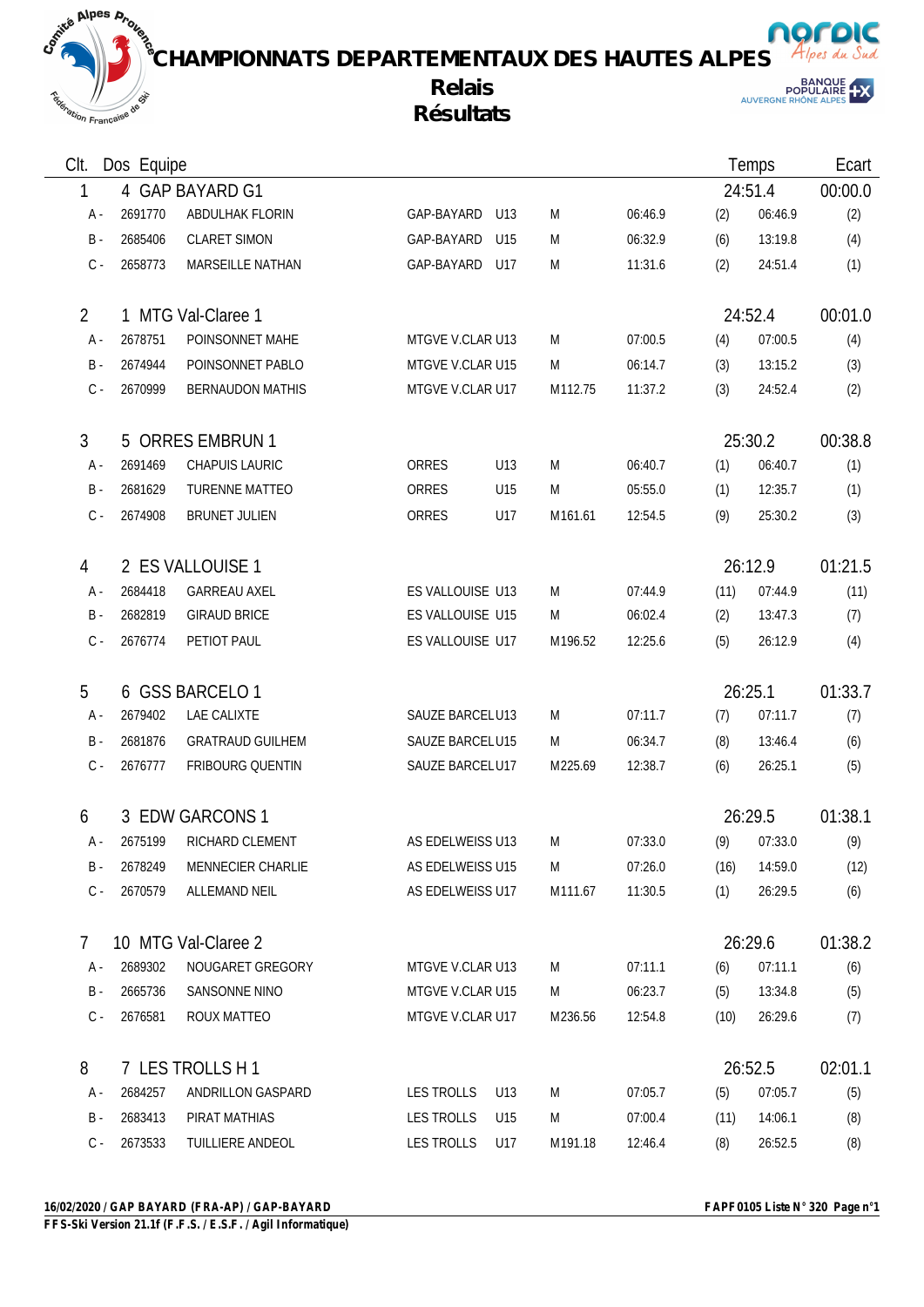**CHAMPIONNATS DEPARTEMENTAUX DES HAUTES ALPES Relais**

## **Résultats**



norpic

| CIt.           | Dos Equipe       |                         |                  |     |         | Temps   |         | Ecart         |         |
|----------------|------------------|-------------------------|------------------|-----|---------|---------|---------|---------------|---------|
| 1              |                  | 4 GAP BAYARD G1         |                  |     |         |         | 24:51.4 | 00:00.0       |         |
| A -            | 2691770          | ABDULHAK FLORIN         | GAP-BAYARD       | U13 | M       | 06:46.9 | (2)     | 06:46.9       | (2)     |
| $B -$          | 2685406          | <b>CLARET SIMON</b>     | GAP-BAYARD       | U15 | M       | 06:32.9 | (6)     | 13:19.8       | (4)     |
|                | $C -$<br>2658773 | MARSEILLE NATHAN        | GAP-BAYARD       | U17 | M       | 11:31.6 | (2)     | 24:51.4       | (1)     |
| $\overline{2}$ |                  | 1 MTG Val-Claree 1      |                  |     |         |         |         | 24:52.4       | 00:01.0 |
| A -            | 2678751          | POINSONNET MAHE         | MTGVE V.CLAR U13 |     | M       | 07:00.5 | (4)     | 07:00.5       | (4)     |
| $B -$          | 2674944          | POINSONNET PABLO        | MTGVE V.CLAR U15 |     | M       | 06:14.7 | (3)     | 13:15.2       | (3)     |
|                | $C -$<br>2670999 | <b>BERNAUDON MATHIS</b> | MTGVE V.CLAR U17 |     | M112.75 | 11:37.2 | (3)     | 24:52.4       | (2)     |
| 3              |                  | 5 ORRES EMBRUN 1        |                  |     |         |         |         | 25:30.2       | 00:38.8 |
| A -            | 2691469          | <b>CHAPUIS LAURIC</b>   | ORRES            | U13 | M       | 06:40.7 | (1)     | 06:40.7       | (1)     |
| B -            | 2681629          | <b>TURENNE MATTEO</b>   | ORRES            | U15 | M       | 05:55.0 | (1)     | 12:35.7       | (1)     |
|                | $C -$<br>2674908 | <b>BRUNET JULIEN</b>    | ORRES            | U17 | M161.61 | 12:54.5 | (9)     | 25:30.2       | (3)     |
| 4              |                  | 2 ES VALLOUISE 1        |                  |     |         |         |         | 26:12.9       | 01:21.5 |
| A -            | 2684418          | <b>GARREAU AXEL</b>     | ES VALLOUISE U13 |     | M       | 07:44.9 | (11)    | 07:44.9       | (11)    |
| $B -$          | 2682819          | <b>GIRAUD BRICE</b>     | ES VALLOUISE U15 |     | M       | 06:02.4 | (2)     | 13:47.3       | (7)     |
|                | $C -$<br>2676774 | PETIOT PAUL             | ES VALLOUISE U17 |     | M196.52 | 12:25.6 | (5)     | 26:12.9       | (4)     |
| 5              |                  | 6 GSS BARCELO 1         |                  |     |         |         |         | 26:25.1       | 01:33.7 |
| A -            | 2679402          | LAE CALIXTE             | SAUZE BARCELU13  |     | M       | 07:11.7 | (7)     | 07:11.7       | (7)     |
| $B -$          | 2681876          | <b>GRATRAUD GUILHEM</b> | SAUZE BARCELU15  |     | M       | 06:34.7 | (8)     | 13:46.4       | (6)     |
|                | 2676777<br>$C -$ | FRIBOURG QUENTIN        | SAUZE BARCELU17  |     | M225.69 | 12:38.7 | (6)     | 26:25.1       | (5)     |
| 6              |                  | 3 EDW GARCONS 1         |                  |     |         |         |         | 26:29.5       | 01:38.1 |
|                |                  | 2675199 RICHARD CLEMENT | AS EDELWEISS U13 |     | M       | 07:33.0 |         | $(9)$ 07:33.0 | (9)     |
|                | 2678249<br>B -   | MENNECIER CHARLIE       | AS EDELWEISS U15 |     | M       | 07:26.0 | (16)    | 14:59.0       | (12)    |
|                | $C -$<br>2670579 | <b>ALLEMAND NEIL</b>    | AS EDELWEISS U17 |     | M111.67 | 11:30.5 | (1)     | 26:29.5       | (6)     |
| $\overline{7}$ |                  | 10 MTG Val-Claree 2     |                  |     |         |         |         | 26:29.6       | 01:38.2 |
| A -            | 2689302          | NOUGARET GREGORY        | MTGVE V.CLAR U13 |     | M       | 07:11.1 | (6)     | 07:11.1       | (6)     |
|                | 2665736<br>B -   | SANSONNE NINO           | MTGVE V.CLAR U15 |     | M       | 06:23.7 | (5)     | 13:34.8       | (5)     |
|                | 2676581<br>$C -$ | ROUX MATTEO             | MTGVE V.CLAR U17 |     | M236.56 | 12:54.8 | (10)    | 26:29.6       | (7)     |
| 8              |                  | 7 LES TROLLS H 1        |                  |     |         |         |         | 26:52.5       | 02:01.1 |
| A -            | 2684257          | ANDRILLON GASPARD       | LES TROLLS       | U13 | M       | 07:05.7 | (5)     | 07:05.7       | (5)     |
|                | 2683413<br>B -   | PIRAT MATHIAS           | LES TROLLS       | U15 | M       | 07:00.4 | (11)    | 14:06.1       | (8)     |
|                | 2673533<br>$C -$ | TUILLIERE ANDEOL        | LES TROLLS       | U17 | M191.18 | 12:46.4 | (8)     | 26:52.5       | (8)     |

Repression Française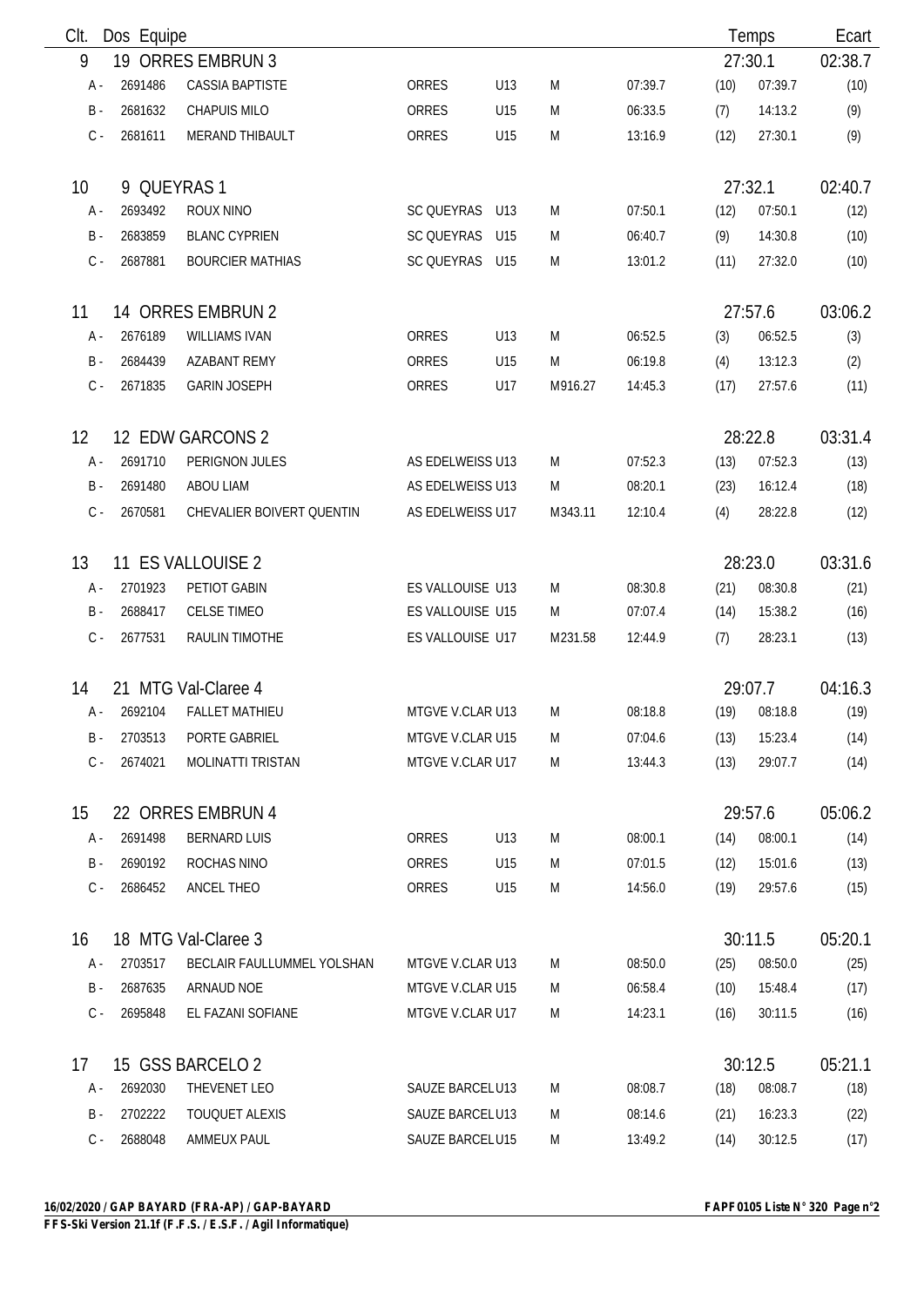| Clt.            | Dos Equipe  |                            |                  |     |         |         |      | Temps   | Ecart   |
|-----------------|-------------|----------------------------|------------------|-----|---------|---------|------|---------|---------|
| 9               |             | 19 ORRES EMBRUN 3          |                  |     |         |         |      | 27:30.1 | 02:38.7 |
| А -             | 2691486     | <b>CASSIA BAPTISTE</b>     | ORRES            | U13 | M       | 07:39.7 | (10) | 07:39.7 | (10)    |
| $B -$           | 2681632     | <b>CHAPUIS MILO</b>        | ORRES            | U15 | M       | 06:33.5 | (7)  | 14:13.2 | (9)     |
| $C -$           | 2681611     | MERAND THIBAULT            | ORRES            | U15 | M       | 13:16.9 | (12) | 27:30.1 | (9)     |
| 10 <sup>°</sup> | 9 QUEYRAS 1 |                            |                  |     |         |         |      | 27:32.1 | 02:40.7 |
| A -             | 2693492     | ROUX NINO                  | SC QUEYRAS       | U13 | M       | 07:50.1 | (12) | 07:50.1 | (12)    |
| $B -$           | 2683859     | <b>BLANC CYPRIEN</b>       | SC QUEYRAS       | U15 | M       | 06:40.7 | (9)  | 14:30.8 | (10)    |
| $C -$           | 2687881     | <b>BOURCIER MATHIAS</b>    | SC QUEYRAS U15   |     | M       | 13:01.2 | (11) | 27:32.0 | (10)    |
| 11              |             | 14 ORRES EMBRUN 2          |                  |     |         |         |      | 27:57.6 | 03:06.2 |
| A -             | 2676189     | <b>WILLIAMS IVAN</b>       | ORRES            | U13 | M       | 06:52.5 | (3)  | 06:52.5 | (3)     |
| $B -$           | 2684439     | <b>AZABANT REMY</b>        | ORRES            | U15 | M       | 06:19.8 | (4)  | 13:12.3 | (2)     |
| $C -$           | 2671835     | <b>GARIN JOSEPH</b>        | ORRES            | U17 | M916.27 | 14:45.3 | (17) | 27:57.6 | (11)    |
| 12              |             | 12 EDW GARCONS 2           |                  |     |         |         |      | 28:22.8 | 03:31.4 |
| A -             | 2691710     | PERIGNON JULES             | AS EDELWEISS U13 |     | M       | 07:52.3 | (13) | 07:52.3 | (13)    |
| $B -$           | 2691480     | <b>ABOU LIAM</b>           | AS EDELWEISS U13 |     | M       | 08:20.1 | (23) | 16:12.4 | (18)    |
| $C -$           | 2670581     | CHEVALIER BOIVERT QUENTIN  | AS EDELWEISS U17 |     | M343.11 | 12:10.4 | (4)  | 28:22.8 | (12)    |
| 13              |             | 11 ES VALLOUISE 2          |                  |     |         |         |      | 28:23.0 | 03:31.6 |
| A -             | 2701923     | PETIOT GABIN               | ES VALLOUISE U13 |     | M       | 08:30.8 | (21) | 08:30.8 | (21)    |
| $B -$           | 2688417     | <b>CELSE TIMEO</b>         | ES VALLOUISE U15 |     | M       | 07:07.4 | (14) | 15:38.2 | (16)    |
| $C -$           | 2677531     | RAULIN TIMOTHE             | ES VALLOUISE U17 |     | M231.58 | 12:44.9 | (7)  | 28:23.1 | (13)    |
| 14              |             | 21 MTG Val-Claree 4        |                  |     |         |         |      | 29:07.7 | 04:16.3 |
| А -             | 2692104     | <b>FALLET MATHIEU</b>      | MTGVE V.CLAR U13 |     | M       | 08:18.8 | (19) | 08:18.8 | (19)    |
| B -             | 2703513     | PORTE GABRIEL              | MTGVE V.CLAR U15 |     | M       | 07:04.6 | (13) | 15:23.4 | (14)    |
| $C -$           | 2674021     | <b>MOLINATTI TRISTAN</b>   | MTGVE V.CLAR U17 |     | M       | 13:44.3 | (13) | 29:07.7 | (14)    |
| 15              |             | 22 ORRES EMBRUN 4          |                  |     |         |         |      | 29:57.6 | 05:06.2 |
| A -             | 2691498     | <b>BERNARD LUIS</b>        | ORRES            | U13 | M       | 08:00.1 | (14) | 08:00.1 | (14)    |
| B -             | 2690192     | ROCHAS NINO                | ORRES            | U15 | M       | 07:01.5 | (12) | 15:01.6 | (13)    |
| $C -$           | 2686452     | ANCEL THEO                 | ORRES            | U15 | M       | 14:56.0 | (19) | 29:57.6 | (15)    |
| 16              |             | 18 MTG Val-Claree 3        |                  |     |         |         |      | 30:11.5 | 05:20.1 |
| A -             | 2703517     | BECLAIR FAULLUMMEL YOLSHAN | MTGVE V.CLAR U13 |     | M       | 08:50.0 | (25) | 08:50.0 | (25)    |
| B -             | 2687635     | ARNAUD NOE                 | MTGVE V.CLAR U15 |     | M       | 06:58.4 | (10) | 15:48.4 | (17)    |
| C -             | 2695848     | EL FAZANI SOFIANE          | MTGVE V.CLAR U17 |     | M       | 14:23.1 | (16) | 30:11.5 | (16)    |
| 17              |             | 15 GSS BARCELO 2           |                  |     |         |         |      | 30:12.5 | 05:21.1 |
| A -             | 2692030     | THEVENET LEO               | SAUZE BARCELU13  |     | M       | 08:08.7 | (18) | 08:08.7 | (18)    |
| B -             | 2702222     | TOUQUET ALEXIS             | SAUZE BARCELU13  |     | M       | 08:14.6 | (21) | 16:23.3 | (22)    |
| $C -$           | 2688048     | AMMEUX PAUL                | SAUZE BARCELU15  |     | M       | 13:49.2 | (14) | 30:12.5 | (17)    |